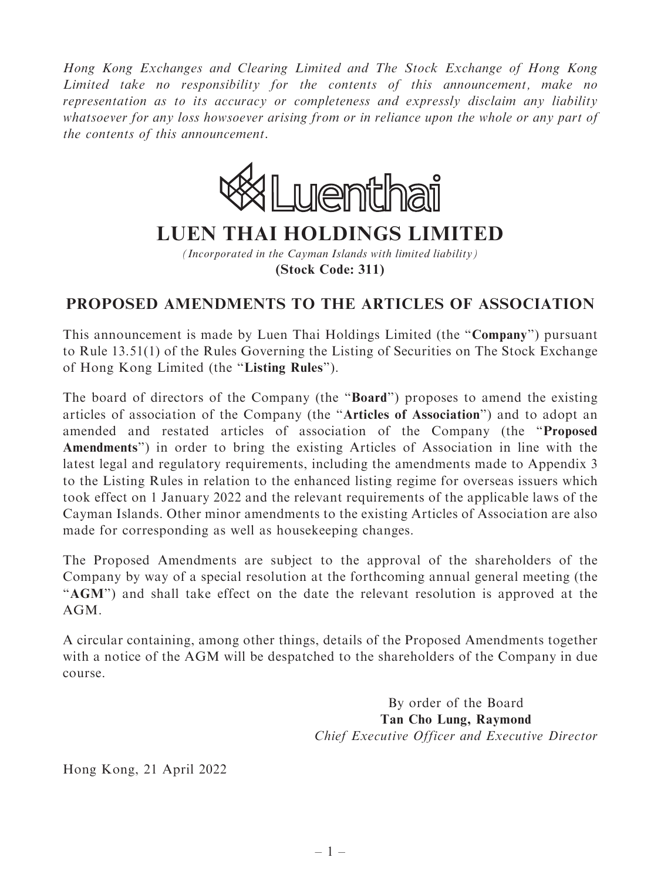Hong Kong Exchanges and Clearing Limited and The Stock Exchange of Hong Kong Limited take no responsibility for the contents of this announcement, make no representation as to its accuracy or completeness and expressly disclaim any liability whatsoever for any loss howsoever arising from or in reliance upon the whole or any part of the contents of this announcement.



## **LUEN THAI HOLDINGS LIMITED**

*(Incorporated in the Cayman Islands with limited liability)* **(Stock Code: 311)**

## PROPOSED AMENDMENTS TO THE ARTICLES OF ASSOCIATION

This announcement is made by Luen Thai Holdings Limited (the "Company") pursuant to Rule 13.51(1) of the Rules Governing the Listing of Securities on The Stock Exchange of Hong Kong Limited (the ''Listing Rules'').

The board of directors of the Company (the ''Board'') proposes to amend the existing articles of association of the Company (the ''Articles of Association'') and to adopt an amended and restated articles of association of the Company (the ''Proposed Amendments'') in order to bring the existing Articles of Association in line with the latest legal and regulatory requirements, including the amendments made to Appendix 3 to the Listing Rules in relation to the enhanced listing regime for overseas issuers which took effect on 1 January 2022 and the relevant requirements of the applicable laws of the Cayman Islands. Other minor amendments to the existing Articles of Association are also made for corresponding as well as housekeeping changes.

The Proposed Amendments are subject to the approval of the shareholders of the Company by way of a special resolution at the forthcoming annual general meeting (the "AGM") and shall take effect on the date the relevant resolution is approved at the AGM.

A circular containing, among other things, details of the Proposed Amendments together with a notice of the AGM will be despatched to the shareholders of the Company in due course.

> By order of the Board Tan Cho Lung, Raymond Chief Executive Officer and Executive Director

Hong Kong, 21 April 2022